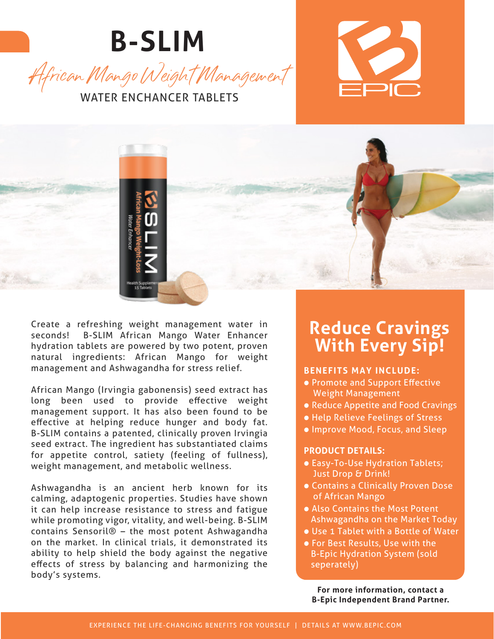





Create a refreshing weight management water in seconds! B-SLIM African Mango Water Enhancer hydration tablets are powered by two potent, proven natural ingredients: African Mango for weight management and Ashwagandha for stress relief.

African Mango (Irvingia gabonensis) seed extract has long been used to provide effective weight management support. It has also been found to be effective at helping reduce hunger and body fat. B-SLIM contains a patented, clinically proven Irvingia seed extract. The ingredient has substantiated claims for appetite control, satiety (feeling of fullness), weight management, and metabolic wellness.

Ashwagandha is an ancient herb known for its calming, adaptogenic properties. Studies have shown it can help increase resistance to stress and fatigue while promoting vigor, vitality, and well-being. B-SLIM contains Sensoril® – the most potent Ashwagandha on the market. In clinical trials, it demonstrated its ability to help shield the body against the negative effects of stress by balancing and harmonizing the body's systems.

### **Reduce Cravings With Every Sip!**

#### **BENEFITS MAY INCLUDE:**

- Promote and Support Effective Weight Management
- Reduce Appetite and Food Cravings
- Help Relieve Feelings of Stress
- Improve Mood, Focus, and Sleep

#### **PRODUCT DETAILS:**

- Easy-To-Use Hydration Tablets; Just Drop & Drink!
- Contains a Clinically Proven Dose of African Mango
- Also Contains the Most Potent Ashwagandha on the Market Today
- Use 1 Tablet with a Bottle of Water
- For Best Results, Use with the B-Epic Hydration System (sold seperately)

**For more information, contact a B-Epic Independent Brand Partner.**